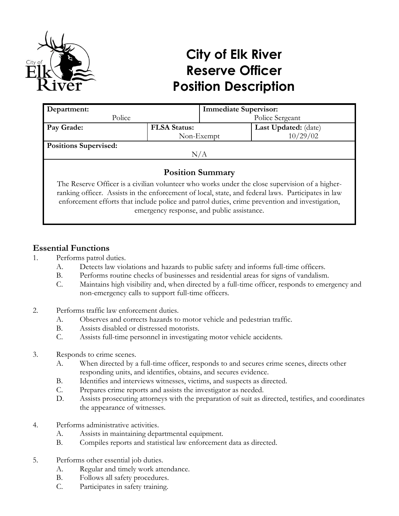

# **City of Elk River Reserve Officer Position Description**

| Department:                                                                                    |                     | <b>Immediate Supervisor:</b> |                      |  |
|------------------------------------------------------------------------------------------------|---------------------|------------------------------|----------------------|--|
| Police                                                                                         |                     | Police Sergeant              |                      |  |
| Pay Grade:                                                                                     | <b>FLSA Status:</b> |                              | Last Updated: (date) |  |
|                                                                                                |                     | Non-Exempt                   | 10/29/02             |  |
| <b>Positions Supervised:</b>                                                                   |                     |                              |                      |  |
| N/A                                                                                            |                     |                              |                      |  |
|                                                                                                |                     |                              |                      |  |
| <b>Position Summary</b>                                                                        |                     |                              |                      |  |
| The Reserve Officer is a civilian volunteer who works under the close supervision of a higher- |                     |                              |                      |  |

ranking officer. Assists in the enforcement of local, state, and federal laws. Participates in law enforcement efforts that include police and patrol duties, crime prevention and investigation, emergency response, and public assistance.

# **Essential Functions**

- 1. Performs patrol duties.
	- A. Detects law violations and hazards to public safety and informs full-time officers.
	- B. Performs routine checks of businesses and residential areas for signs of vandalism.
	- C. Maintains high visibility and, when directed by a full-time officer, responds to emergency and non-emergency calls to support full-time officers.
- 2. Performs traffic law enforcement duties.
	- A. Observes and corrects hazards to motor vehicle and pedestrian traffic.
	- B. Assists disabled or distressed motorists.
	- C. Assists full-time personnel in investigating motor vehicle accidents.
- 3. Responds to crime scenes.
	- A. When directed by a full-time officer, responds to and secures crime scenes, directs other responding units, and identifies, obtains, and secures evidence.
	- B. Identifies and interviews witnesses, victims, and suspects as directed.
	- C. Prepares crime reports and assists the investigator as needed.
	- D. Assists prosecuting attorneys with the preparation of suit as directed, testifies, and coordinates the appearance of witnesses.
- 4. Performs administrative activities.
	- A. Assists in maintaining departmental equipment.
	- B. Compiles reports and statistical law enforcement data as directed.
- 5. Performs other essential job duties.
	- A. Regular and timely work attendance.
	- B. Follows all safety procedures.
	- C. Participates in safety training.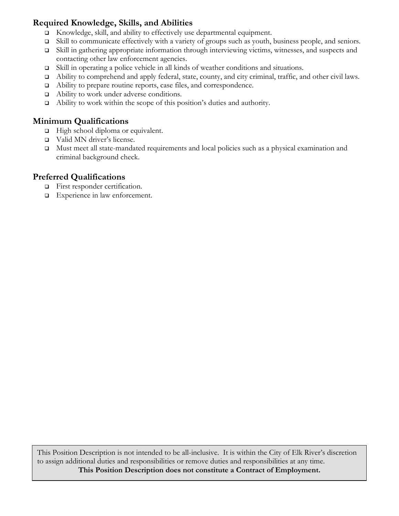# **Required Knowledge, Skills, and Abilities**

- Knowledge, skill, and ability to effectively use departmental equipment.
- Skill to communicate effectively with a variety of groups such as youth, business people, and seniors.
- Skill in gathering appropriate information through interviewing victims, witnesses, and suspects and contacting other law enforcement agencies.
- Skill in operating a police vehicle in all kinds of weather conditions and situations.
- Ability to comprehend and apply federal, state, county, and city criminal, traffic, and other civil laws.
- Ability to prepare routine reports, case files, and correspondence.
- □ Ability to work under adverse conditions.
- Ability to work within the scope of this position's duties and authority.

# **Minimum Qualifications**

- □ High school diploma or equivalent.
- □ Valid MN driver's license.
- Must meet all state-mandated requirements and local policies such as a physical examination and criminal background check.

# **Preferred Qualifications**

- $\Box$  First responder certification.
- Experience in law enforcement.

This Position Description is not intended to be all-inclusive. It is within the City of Elk River's discretion to assign additional duties and responsibilities or remove duties and responsibilities at any time. **This Position Description does not constitute a Contract of Employment.**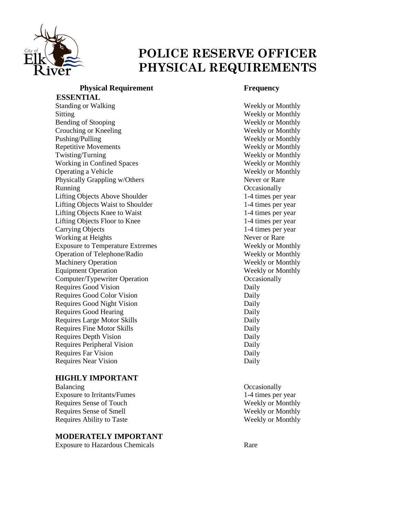

# **POLICE RESERVE OFFICER PHYSICAL REQUIREMENTS**

#### **Physical Requirement Frequency ESSENTIAL**

Standing or Walking Weekly or Monthly Sitting Weekly or Monthly Bending of Stooping Weekly or Monthly Crouching or Kneeling Weekly or Monthly Pushing/Pulling Weekly or Monthly Repetitive Movements Weekly or Monthly Twisting/Turning Weekly or Monthly Working in Confined Spaces Weekly or Monthly Operating a Vehicle Weekly or Monthly Physically Grappling w/Others Never or Rare Running Occasionally Lifting Objects Above Shoulder 1-4 times per year Lifting Objects Waist to Shoulder 1-4 times per year Lifting Objects Knee to Waist 1-4 times per year Lifting Objects Floor to Knee 1-4 times per year Carrying Objects 1-4 times per year Working at Heights Never or Rare Exposure to Temperature Extremes Weekly or Monthly Operation of Telephone/Radio Weekly or Monthly Machinery Operation Weekly or Monthly Equipment Operation Weekly or Monthly Computer/Typewriter Operation Conservation Conservation Conservation Occasionally Requires Good Vision Daily Requires Good Color Vision Daily Requires Good Night Vision Daily Requires Good Hearing Daily Requires Large Motor Skills Daily Requires Fine Motor Skills Daily Requires Depth Vision Daily Requires Peripheral Vision Daily Requires Far Vision Daily Requires Near Vision Daily

#### **HIGHLY IMPORTANT**

Balancing Occasionally Exposure to Irritants/Fumes 1-4 times per year Requires Sense of Touch Weekly or Monthly Requires Sense of Smell Weekly or Monthly Requires Ability to Taste Weekly or Monthly

#### **MODERATELY IMPORTANT**

Exposure to Hazardous Chemicals Rare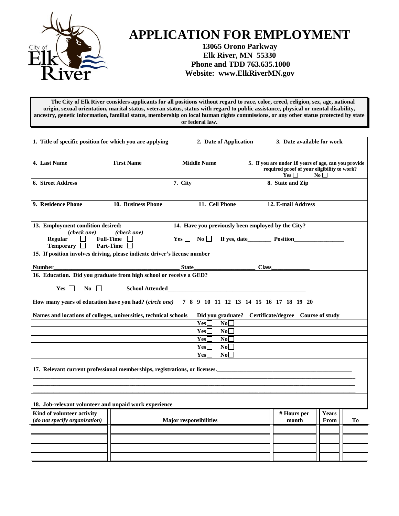

# **APPLICATION FOR EMPLOYMENT**

### **13065 Orono Parkway Elk River, MN 55330 Phone and TDD 763.635.1000 Website: www.ElkRiverMN.gov**

 **The City of Elk River considers applicants for all positions without regard to race, color, creed, religion, sex, age, national origin, sexual orientation, marital status, veteran status, status with regard to public assistance, physical or mental disability, ancestry, genetic information, familial status, membership on local human rights commissions, or any other status protected by state or federal law.**

| 1. Title of specific position for which you are applying                                               |                        |                               | 2. Date of Application | 3. Date available for work                                                                                        |                      |    |
|--------------------------------------------------------------------------------------------------------|------------------------|-------------------------------|------------------------|-------------------------------------------------------------------------------------------------------------------|----------------------|----|
| 4. Last Name                                                                                           | <b>First Name</b>      | <b>Middle Name</b>            |                        | 5. If you are under 18 years of age, can you provide<br>required proof of your eligibility to work?<br>$Yes \Box$ | $\bf No$             |    |
| <b>6. Street Address</b>                                                                               |                        | 7. City                       |                        | 8. State and Zip                                                                                                  |                      |    |
| 9. Residence Phone                                                                                     | 10. Business Phone     |                               | 11. Cell Phone         | 12. E-mail Address                                                                                                |                      |    |
| 13. Employment condition desired:                                                                      |                        |                               |                        | 14. Have you previously been employed by the City?                                                                |                      |    |
| (check one)<br>Regular<br><b>Full-Time</b><br>ΙI<br><b>Temporary</b><br><b>Part-Time</b><br>$\perp$    | (check one)            | $Yes \Box No \Box$            |                        |                                                                                                                   |                      |    |
| 15. If position involves driving, please indicate driver's license number                              |                        |                               |                        |                                                                                                                   |                      |    |
| <b>Number</b>                                                                                          |                        | <b>State</b>                  |                        | <b>Class</b>                                                                                                      |                      |    |
| 16. Education. Did you graduate from high school or receive a GED?<br>$Yes \ \Box$<br>$\overline{N_0}$ | <b>School Attended</b> |                               |                        |                                                                                                                   |                      |    |
| How many years of education have you had? (circle one)                                                 |                        |                               |                        | 7 8 9 10 11 12 13 14 15 16 17 18 19 20                                                                            |                      |    |
| Names and locations of colleges, universities, technical schools                                       |                        |                               | No                     | Did you graduate? Certificate/degree Course of study                                                              |                      |    |
|                                                                                                        |                        | Yes<br>Yes                    | No                     |                                                                                                                   |                      |    |
|                                                                                                        |                        | Yes                           | No                     |                                                                                                                   |                      |    |
|                                                                                                        |                        | Yes                           | No                     |                                                                                                                   |                      |    |
|                                                                                                        |                        | Yes                           | No                     |                                                                                                                   |                      |    |
| 17. Relevant current professional memberships, registrations, or licenses.                             |                        |                               |                        |                                                                                                                   |                      |    |
| 18. Job-relevant volunteer and unpaid work experience                                                  |                        |                               |                        |                                                                                                                   |                      |    |
| Kind of volunteer activity<br>(do not specify organization)                                            |                        | <b>Major responsibilities</b> |                        | # Hours per<br>month                                                                                              | <b>Years</b><br>From | To |
|                                                                                                        |                        |                               |                        |                                                                                                                   |                      |    |
|                                                                                                        |                        |                               |                        |                                                                                                                   |                      |    |
|                                                                                                        |                        |                               |                        |                                                                                                                   |                      |    |
|                                                                                                        |                        |                               |                        |                                                                                                                   |                      |    |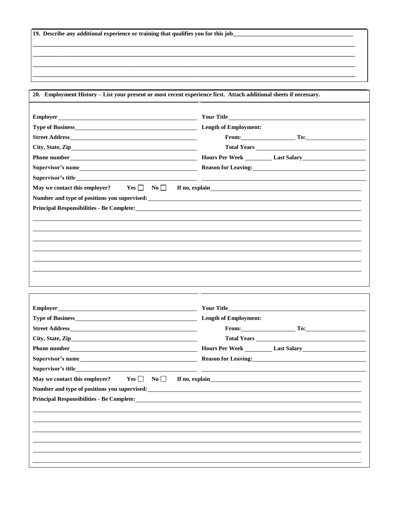|  | 19. Describe any additional experience or training that qualifies you for this job_ |  |  |
|--|-------------------------------------------------------------------------------------|--|--|
|  |                                                                                     |  |  |

**20. Employment History – List your present or most recent experience first. Attach additional sheets if necessary. Employer Type of Business Length of Employment: Street Address City, State, Zip Phone number Hours Per Week Last Salary Supervisor's name Reason for Leaving: Supervisor's title Your Title From: To: Total Years**  May we contact this employer?  $Yes \Box \ No \Box$  If no, explain **Number and type of positions you supervised: Principal Responsibilities - Be Complete:**

**\_\_\_\_\_\_\_\_\_\_\_\_\_\_\_\_\_\_\_\_\_\_\_\_\_\_\_\_\_\_\_\_\_\_\_\_\_\_\_\_\_\_\_\_\_\_\_\_\_\_\_\_\_\_\_\_\_\_\_\_\_\_\_\_\_\_\_\_\_\_\_\_\_\_\_\_\_\_\_\_\_\_\_\_\_\_\_\_\_\_\_\_\_\_\_\_\_\_\_\_\_\_\_\_\_\_\_\_\_\_ \_\_\_\_\_\_\_\_\_\_\_\_\_\_\_\_\_\_\_\_\_\_\_\_\_\_\_\_\_\_\_\_\_\_\_\_\_\_\_\_\_\_\_\_\_\_\_\_\_\_\_\_\_\_\_\_\_\_\_\_\_\_\_\_\_\_\_\_\_\_\_\_\_\_\_\_\_\_\_\_\_\_\_\_\_\_\_\_\_\_\_\_\_\_\_\_\_\_\_\_\_\_\_\_\_\_\_\_\_\_ \_\_\_\_\_\_\_\_\_\_\_\_\_\_\_\_\_\_\_\_\_\_\_\_\_\_\_\_\_\_\_\_\_\_\_\_\_\_\_\_\_\_\_\_\_\_\_\_\_\_\_\_\_\_\_\_\_\_\_\_\_\_\_\_\_\_\_\_\_\_\_\_\_\_\_\_\_\_\_\_\_\_\_\_\_\_\_\_\_\_\_\_\_\_\_\_\_\_\_\_\_\_\_\_\_\_\_\_\_\_ \_\_\_\_\_\_\_\_\_\_\_\_\_\_\_\_\_\_\_\_\_\_\_\_\_\_\_\_\_\_\_\_\_\_\_\_\_\_\_\_\_\_\_\_\_\_\_\_\_\_\_\_\_\_\_\_\_\_\_\_\_\_\_\_\_\_\_\_\_\_\_\_\_\_\_\_\_\_\_\_\_\_\_\_\_\_\_\_\_\_\_\_\_\_\_\_\_\_\_\_\_\_\_\_\_\_\_\_\_\_**

|                                                               | From: $\qquad \qquad \qquad \text{To:}$    |
|---------------------------------------------------------------|--------------------------------------------|
|                                                               |                                            |
|                                                               |                                            |
|                                                               | Reason for Leaving:<br><u>Example 2008</u> |
|                                                               |                                            |
| May we contact this employer? $Yes$<br>$\mathbf{N}\mathbf{0}$ |                                            |
|                                                               |                                            |
|                                                               |                                            |
|                                                               |                                            |
|                                                               |                                            |
|                                                               |                                            |
|                                                               |                                            |
|                                                               |                                            |
|                                                               |                                            |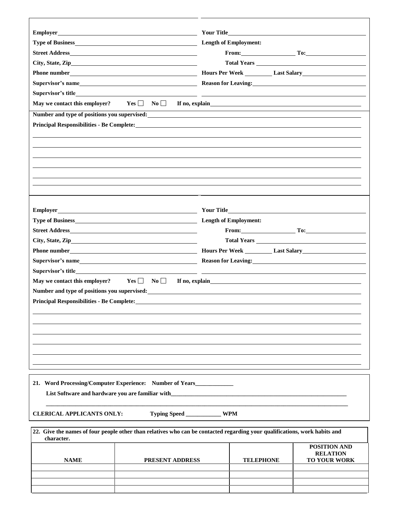| Employer                                                  |                                                                                                                                                                                                                                     |                              |                                 |
|-----------------------------------------------------------|-------------------------------------------------------------------------------------------------------------------------------------------------------------------------------------------------------------------------------------|------------------------------|---------------------------------|
|                                                           |                                                                                                                                                                                                                                     | <b>Length of Employment:</b> |                                 |
|                                                           |                                                                                                                                                                                                                                     |                              | From: To: To: To:               |
|                                                           |                                                                                                                                                                                                                                     |                              |                                 |
|                                                           |                                                                                                                                                                                                                                     |                              |                                 |
|                                                           |                                                                                                                                                                                                                                     |                              |                                 |
|                                                           |                                                                                                                                                                                                                                     |                              |                                 |
|                                                           | May we contact this employer? Yes $\Box$ No $\Box$ If no, explain                                                                                                                                                                   |                              |                                 |
|                                                           | Number and type of positions you supervised:                                                                                                                                                                                        |                              |                                 |
|                                                           | Principal Responsibilities - Be Complete: New York School and School and School and School and School and School and School and School and School and School and School and School and School and School and School and School      |                              |                                 |
|                                                           |                                                                                                                                                                                                                                     |                              |                                 |
|                                                           |                                                                                                                                                                                                                                     |                              |                                 |
|                                                           |                                                                                                                                                                                                                                     |                              |                                 |
|                                                           |                                                                                                                                                                                                                                     |                              |                                 |
|                                                           |                                                                                                                                                                                                                                     |                              |                                 |
|                                                           |                                                                                                                                                                                                                                     |                              |                                 |
|                                                           |                                                                                                                                                                                                                                     |                              |                                 |
|                                                           |                                                                                                                                                                                                                                     |                              |                                 |
| Employer_                                                 | <b>Example 2018 Solution 2018 Solution 2018 Your Title Solution 2018 Your Title</b>                                                                                                                                                 |                              |                                 |
|                                                           |                                                                                                                                                                                                                                     |                              |                                 |
| From: $\qquad \qquad \text{To:}$                          |                                                                                                                                                                                                                                     |                              |                                 |
|                                                           |                                                                                                                                                                                                                                     |                              |                                 |
|                                                           |                                                                                                                                                                                                                                     |                              |                                 |
|                                                           |                                                                                                                                                                                                                                     |                              |                                 |
|                                                           |                                                                                                                                                                                                                                     |                              |                                 |
|                                                           |                                                                                                                                                                                                                                     |                              |                                 |
| May we contact this employer? $Yes \Box \qquad No \Box$   |                                                                                                                                                                                                                                     |                              |                                 |
|                                                           | Number and type of positions you supervised: Number 2012 1996 1997                                                                                                                                                                  |                              |                                 |
|                                                           | <b>Principal Responsibilities - Be Complete:</b> No. 2014 19:30 19:30 19:30 19:30 19:30 19:30 19:30 19:30 19:30 19:30 19:30 19:30 19:30 19:30 19:30 19:30 19:30 19:30 19:30 19:30 19:30 19:30 19:30 19:30 19:30 19:30 19:30 19:30 1 |                              |                                 |
|                                                           |                                                                                                                                                                                                                                     |                              |                                 |
|                                                           |                                                                                                                                                                                                                                     |                              |                                 |
|                                                           |                                                                                                                                                                                                                                     |                              |                                 |
|                                                           |                                                                                                                                                                                                                                     |                              |                                 |
|                                                           |                                                                                                                                                                                                                                     |                              |                                 |
|                                                           |                                                                                                                                                                                                                                     |                              |                                 |
|                                                           |                                                                                                                                                                                                                                     |                              |                                 |
| 21. Word Processing/Computer Experience: Number of Years_ |                                                                                                                                                                                                                                     |                              |                                 |
| List Software and hardware you are familiar with          |                                                                                                                                                                                                                                     |                              |                                 |
|                                                           |                                                                                                                                                                                                                                     |                              |                                 |
| <b>CLERICAL APPLICANTS ONLY:</b>                          | Typing Speed _____________ WPM                                                                                                                                                                                                      |                              |                                 |
|                                                           |                                                                                                                                                                                                                                     |                              |                                 |
|                                                           | 22. Give the names of four people other than relatives who can be contacted regarding your qualifications, work habits and                                                                                                          |                              |                                 |
| character.                                                |                                                                                                                                                                                                                                     |                              |                                 |
|                                                           |                                                                                                                                                                                                                                     |                              | POSITION AND<br><b>RELATION</b> |
| <b>NAME</b>                                               | PRESENT ADDRESS                                                                                                                                                                                                                     | <b>TELEPHONE</b>             | <b>TO YOUR WORK</b>             |
|                                                           |                                                                                                                                                                                                                                     |                              |                                 |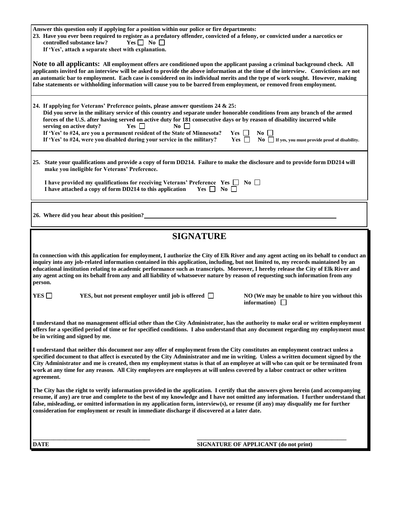| Answer this question only if applying for a position within our police or fire departments:<br>23. Have you ever been required to register as a predatory offender, convicted of a felony, or convicted under a narcotics or<br>controlled substance law?<br>$Yes \Box No \Box$<br>If 'Yes', attach a separate sheet with explanation.                                                                                                                                                                                                                                                                                                                                                |  |  |  |  |
|---------------------------------------------------------------------------------------------------------------------------------------------------------------------------------------------------------------------------------------------------------------------------------------------------------------------------------------------------------------------------------------------------------------------------------------------------------------------------------------------------------------------------------------------------------------------------------------------------------------------------------------------------------------------------------------|--|--|--|--|
| Note to all applicants: All employment offers are conditioned upon the applicant passing a criminal background check. All<br>applicants invited for an interview will be asked to provide the above information at the time of the interview. Convictions are not<br>an automatic bar to employment. Each case is considered on its individual merits and the type of work sought. However, making<br>false statements or withholding information will cause you to be barred from employment, or removed from employment.                                                                                                                                                            |  |  |  |  |
| 24. If applying for Veterans' Preference points, please answer questions 24 & 25:<br>Did you serve in the military service of this country and separate under honorable conditions from any branch of the armed<br>forces of the U.S. after having served on active duty for 181 consecutive days or by reason of disability incurred while<br>serving on active duty?<br>$Yes$  <br>$\mathrm{No}$    <br>If 'Yes' to #24, are you a permanent resident of the State of Minnesota?<br>$Yes$    <br>$\textbf{No} \perp \textbf{I}$<br>Yes $\Box$<br>$\bf{No}$ If yes, you must provide proof of disability.<br>If 'Yes' to #24, were you disabled during your service in the military? |  |  |  |  |
| 25. State your qualifications and provide a copy of form DD214. Failure to make the disclosure and to provide form DD214 will<br>make you ineligible for Veterans' Preference.                                                                                                                                                                                                                                                                                                                                                                                                                                                                                                        |  |  |  |  |
| I have provided my qualifications for receiving Veterans' Preference Yes $\Box$ No $\Box$<br>$Yes \Box No \Box$<br>I have attached a copy of form DD214 to this application                                                                                                                                                                                                                                                                                                                                                                                                                                                                                                           |  |  |  |  |
| 26. Where did you hear about this position?                                                                                                                                                                                                                                                                                                                                                                                                                                                                                                                                                                                                                                           |  |  |  |  |
| <b>SIGNATURE</b>                                                                                                                                                                                                                                                                                                                                                                                                                                                                                                                                                                                                                                                                      |  |  |  |  |
| In connection with this application for employment, I authorize the City of Elk River and any agent acting on its behalf to conduct an<br>inquiry into any job-related information contained in this application, including, but not limited to, my records maintained by an<br>educational institution relating to academic performance such as transcripts. Moreover, I hereby release the City of Elk River and<br>any agent acting on its behalf from any and all liability of whatsoever nature by reason of requesting such information from any<br>person.                                                                                                                     |  |  |  |  |
| YES $\square$<br>YES, but not present employer until job is offered $\Box$<br>NO (We may be unable to hire you without this<br>information)                                                                                                                                                                                                                                                                                                                                                                                                                                                                                                                                           |  |  |  |  |
| I understand that no management official other than the City Administrator, has the authority to make oral or written employment<br>offers for a specified period of time or for specified conditions. I also understand that any document regarding my employment must<br>be in writing and signed by me.                                                                                                                                                                                                                                                                                                                                                                            |  |  |  |  |
| I understand that neither this document nor any offer of employment from the City constitutes an employment contract unless a<br>specified document to that affect is executed by the City Administrator and me in writing. Unless a written document signed by the<br>City Administrator and me is created, then my employment status is that of an employee at will who can quit or be terminated from<br>work at any time for any reason. All City employees are employees at will unless covered by a labor contract or other written<br>agreement.                                                                                                                               |  |  |  |  |
| The City has the right to verify information provided in the application. I certify that the answers given herein (and accompanying<br>resume, if any) are true and complete to the best of my knowledge and I have not omitted any information. I further understand that<br>false, misleading, or omitted information in my application form, interview(s), or resume (if any) may disqualify me for further<br>consideration for employment or result in immediate discharge if discovered at a later date.                                                                                                                                                                        |  |  |  |  |
|                                                                                                                                                                                                                                                                                                                                                                                                                                                                                                                                                                                                                                                                                       |  |  |  |  |
| <b>DATE</b><br><b>SIGNATURE OF APPLICANT (do not print)</b>                                                                                                                                                                                                                                                                                                                                                                                                                                                                                                                                                                                                                           |  |  |  |  |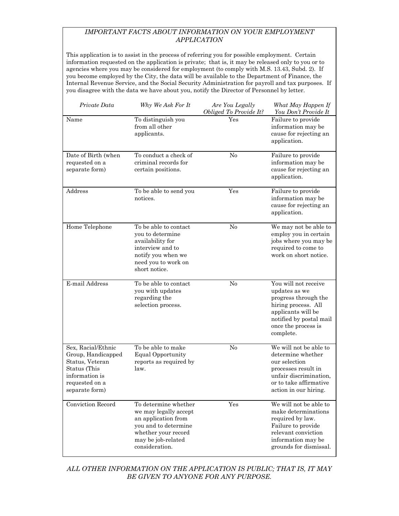#### *IMPORTANT FACTS ABOUT INFORMATION ON YOUR EMPLOYMENT APPLICATION*

This application is to assist in the process of referring you for possible employment. Certain information requested on the application is private; that is, it may be released only to you or to agencies where you may be considered for employment (to comply with M.S. 13.43, Subd. 2). If you become employed by the City, the data will be available to the Department of Finance, the Internal Revenue Service, and the Social Security Administration for payroll and tax purposes. If you disagree with the data we have about you, notify the Director of Personnel by letter.

| Private Data                                                                                                                      | Why We Ask For It                                                                                                                                           | Are You Legally<br>Obliged To Provide It? | What May Happen If<br>You Don't Provide It                                                                                                                                |
|-----------------------------------------------------------------------------------------------------------------------------------|-------------------------------------------------------------------------------------------------------------------------------------------------------------|-------------------------------------------|---------------------------------------------------------------------------------------------------------------------------------------------------------------------------|
| Name                                                                                                                              | To distinguish you<br>from all other<br>applicants.                                                                                                         | Yes                                       | Failure to provide<br>information may be<br>cause for rejecting an<br>application.                                                                                        |
| Date of Birth (when<br>requested on a<br>separate form)                                                                           | To conduct a check of<br>criminal records for<br>certain positions.                                                                                         | No                                        | Failure to provide<br>information may be<br>cause for rejecting an<br>application.                                                                                        |
| Address                                                                                                                           | To be able to send you<br>notices.                                                                                                                          | Yes                                       | Failure to provide<br>information may be<br>cause for rejecting an<br>application.                                                                                        |
| Home Telephone                                                                                                                    | To be able to contact<br>you to determine<br>availability for<br>interview and to<br>notify you when we<br>need you to work on<br>short notice.             | No                                        | We may not be able to<br>employ you in certain<br>jobs where you may be<br>required to come to<br>work on short notice.                                                   |
| E-mail Address                                                                                                                    | To be able to contact<br>you with updates<br>regarding the<br>selection process.                                                                            | N <sub>o</sub>                            | You will not receive<br>updates as we<br>progress through the<br>hiring process. All<br>applicants will be<br>notified by postal mail<br>once the process is<br>complete. |
| Sex, Racial/Ethnic<br>Group, Handicapped<br>Status, Veteran<br>Status (This<br>information is<br>requested on a<br>separate form) | To be able to make<br><b>Equal Opportunity</b><br>reports as required by<br>law.                                                                            | No                                        | We will not be able to<br>determine whether<br>our selection<br>processes result in<br>unfair discrimination,<br>or to take affirmative<br>action in our hiring.          |
| Conviction Record                                                                                                                 | To determine whether<br>we may legally accept<br>an application from<br>you and to determine<br>whether your record<br>may be job-related<br>consideration. | Yes                                       | We will not be able to<br>make determinations<br>required by law.<br>Failure to provide<br>relevant conviction<br>information may be<br>grounds for dismissal.            |

*ALL OTHER INFORMATION ON THE APPLICATION IS PUBLIC; THAT IS, IT MAY BE GIVEN TO ANYONE FOR ANY PURPOSE.*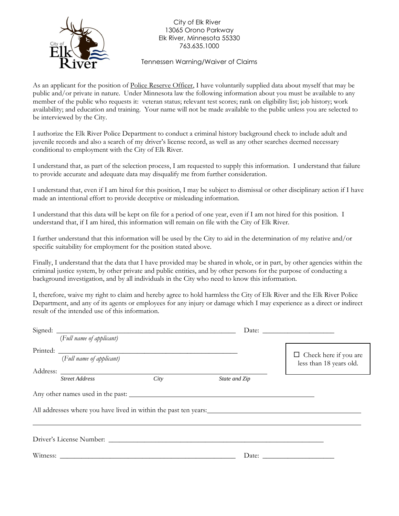

City of Elk River 13065 Orono Parkway Elk River, Minnesota 55330 763.635.1000

Tennessen Warning/Waiver of Claims

As an applicant for the position of <u>Police Reserve Officer</u>, I have voluntarily supplied data about myself that may be public and/or private in nature. Under Minnesota law the following information about you must be available to any member of the public who requests it: veteran status; relevant test scores; rank on eligibility list; job history; work availability; and education and training. Your name will not be made available to the public unless you are selected to be interviewed by the City.

I authorize the Elk River Police Department to conduct a criminal history background check to include adult and juvenile records and also a search of my driver's license record, as well as any other searches deemed necessary conditional to employment with the City of Elk River.

I understand that, as part of the selection process, I am requested to supply this information. I understand that failure to provide accurate and adequate data may disqualify me from further consideration.

I understand that, even if I am hired for this position, I may be subject to dismissal or other disciplinary action if I have made an intentional effort to provide deceptive or misleading information.

I understand that this data will be kept on file for a period of one year, even if I am not hired for this position. I understand that, if I am hired, this information will remain on file with the City of Elk River.

I further understand that this information will be used by the City to aid in the determination of my relative and/or specific suitability for employment for the position stated above.

Finally, I understand that the data that I have provided may be shared in whole, or in part, by other agencies within the criminal justice system, by other private and public entities, and by other persons for the purpose of conducting a background investigation, and by all individuals in the City who need to know this information.

I, therefore, waive my right to claim and hereby agree to hold harmless the City of Elk River and the Elk River Police Department, and any of its agents or employees for any injury or damage which I may experience as a direct or indirect result of the intended use of this information.

| (Full name of applicant) |      |               |                                                                                                                                                                                                                                                                                                                                                                                                                                                   |  |
|--------------------------|------|---------------|---------------------------------------------------------------------------------------------------------------------------------------------------------------------------------------------------------------------------------------------------------------------------------------------------------------------------------------------------------------------------------------------------------------------------------------------------|--|
|                          |      |               |                                                                                                                                                                                                                                                                                                                                                                                                                                                   |  |
| (Full name of applicant) |      |               | $\Box$ Check here if you are<br>less than 18 years old.                                                                                                                                                                                                                                                                                                                                                                                           |  |
|                          |      |               |                                                                                                                                                                                                                                                                                                                                                                                                                                                   |  |
| <b>Street Address</b>    | City | State and Zip |                                                                                                                                                                                                                                                                                                                                                                                                                                                   |  |
|                          |      |               |                                                                                                                                                                                                                                                                                                                                                                                                                                                   |  |
|                          |      |               |                                                                                                                                                                                                                                                                                                                                                                                                                                                   |  |
|                          |      |               |                                                                                                                                                                                                                                                                                                                                                                                                                                                   |  |
|                          |      |               |                                                                                                                                                                                                                                                                                                                                                                                                                                                   |  |
|                          |      |               | Date: $\frac{1}{\sqrt{1-\frac{1}{2}} \cdot \frac{1}{2} \cdot \frac{1}{2} \cdot \frac{1}{2} \cdot \frac{1}{2} \cdot \frac{1}{2} \cdot \frac{1}{2} \cdot \frac{1}{2} \cdot \frac{1}{2} \cdot \frac{1}{2} \cdot \frac{1}{2} \cdot \frac{1}{2} \cdot \frac{1}{2} \cdot \frac{1}{2} \cdot \frac{1}{2} \cdot \frac{1}{2} \cdot \frac{1}{2} \cdot \frac{1}{2} \cdot \frac{1}{2} \cdot \frac{1}{2} \cdot \frac{1}{2} \cdot \frac{1}{2} \cdot \frac{1}{2}$ |  |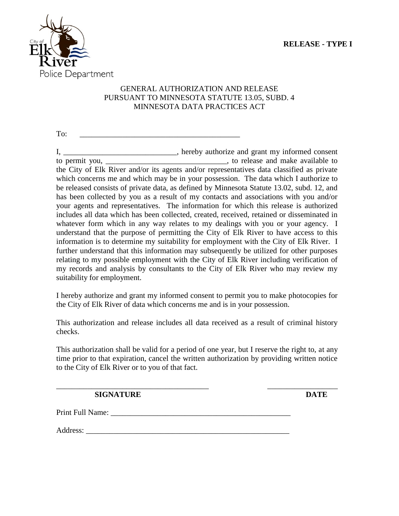

### GENERAL AUTHORIZATION AND RELEASE PURSUANT TO MINNESOTA STATUTE 13.05, SUBD. 4 MINNESOTA DATA PRACTICES ACT

To:

I, \_\_\_\_\_\_\_\_\_\_\_\_\_\_\_\_\_\_\_\_\_\_\_\_\_\_, hereby authorize and grant my informed consent to permit you, \_\_\_\_\_\_\_\_\_\_\_\_\_\_\_\_\_\_\_\_\_\_\_\_\_\_\_\_\_\_\_\_\_, to release and make available to the City of Elk River and/or its agents and/or representatives data classified as private which concerns me and which may be in your possession. The data which I authorize to be released consists of private data, as defined by Minnesota Statute 13.02, subd. 12, and has been collected by you as a result of my contacts and associations with you and/or your agents and representatives. The information for which this release is authorized includes all data which has been collected, created, received, retained or disseminated in whatever form which in any way relates to my dealings with you or your agency. I understand that the purpose of permitting the City of Elk River to have access to this information is to determine my suitability for employment with the City of Elk River. I further understand that this information may subsequently be utilized for other purposes relating to my possible employment with the City of Elk River including verification of my records and analysis by consultants to the City of Elk River who may review my suitability for employment.

I hereby authorize and grant my informed consent to permit you to make photocopies for the City of Elk River of data which concerns me and is in your possession.

This authorization and release includes all data received as a result of criminal history checks.

This authorization shall be valid for a period of one year, but I reserve the right to, at any time prior to that expiration, cancel the written authorization by providing written notice to the City of Elk River or to you of that fact.

\_\_\_\_\_\_\_\_\_\_\_\_\_\_\_\_\_\_\_\_\_\_\_\_\_\_\_\_\_\_\_\_\_\_\_\_\_\_\_ \_\_\_\_\_\_\_\_\_\_\_\_\_\_\_\_\_\_

**SIGNATURE DATE**

Print Full Name: \_\_\_\_\_\_\_\_\_\_\_\_\_\_\_\_\_\_\_\_\_\_\_\_\_\_\_\_\_\_\_\_\_\_\_\_\_\_\_\_\_\_\_\_\_\_

Address: